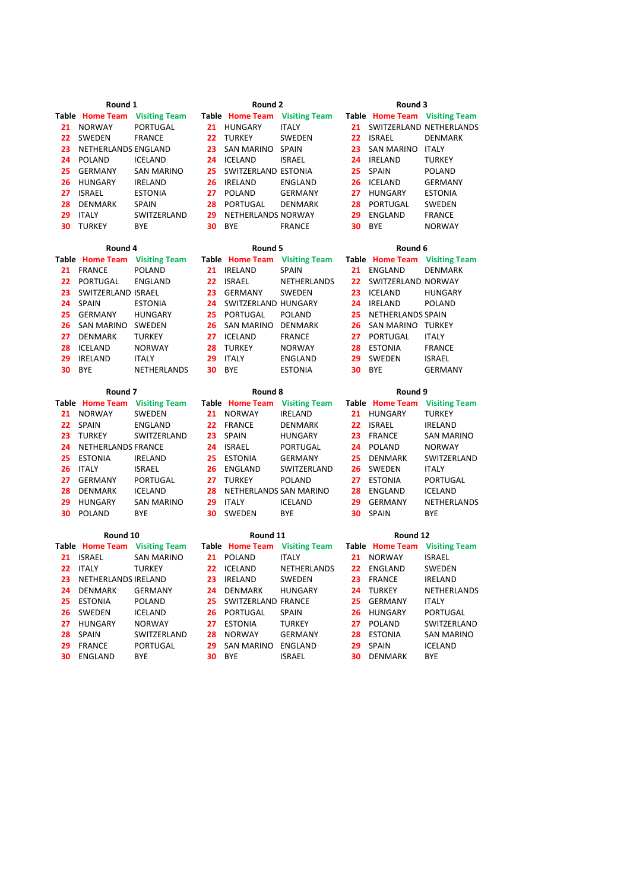| Round 1  |                               |                      | Round 2  |                               |                      | Round 3  |                               |                      |
|----------|-------------------------------|----------------------|----------|-------------------------------|----------------------|----------|-------------------------------|----------------------|
|          | <b>Table Home Team</b>        | <b>Visiting Team</b> |          | <b>Table Home Team</b>        | <b>Visiting Team</b> |          | Table Home Team Visiting Team |                      |
| 21       | <b>NORWAY</b>                 | <b>PORTUGAL</b>      | 21       | HUNGARY                       | <b>ITALY</b>         | 21       | SWITZERLAND NETHERLANDS       |                      |
| 22       | SWEDEN                        | <b>FRANCE</b>        | 22       | <b>TURKEY</b>                 | SWEDEN               | 22       | <b>ISRAEL</b>                 | <b>DENMARK</b>       |
| 23       | NETHERLANDS ENGLAND           |                      | 23       | SAN MARINO SPAIN              |                      | 23       | SAN MARINO ITALY              |                      |
| 24       | POLAND                        | <b>ICELAND</b>       | 24       | ICELAND                       | <b>ISRAEL</b>        | 24       | <b>IRELAND</b>                | <b>TURKEY</b>        |
| 25       | <b>GERMANY</b>                | <b>SAN MARINO</b>    | 25       | SWITZERLAND ESTONIA           |                      | 25       | SPAIN                         | <b>POLAND</b>        |
| 26       | HUNGARY                       | <b>IRELAND</b>       | 26       | IRELAND                       | ENGLAND              | 26       | <b>ICELAND</b>                | <b>GERMANY</b>       |
| 27       | <b>ISRAEL</b>                 | <b>ESTONIA</b>       | 27       | <b>POLAND</b>                 | <b>GERMANY</b>       | 27       | <b>HUNGARY</b>                | <b>ESTONIA</b>       |
| 28       | DENMARK                       | <b>SPAIN</b>         | 28       | <b>PORTUGAL</b>               | <b>DENMARK</b>       | 28       | <b>PORTUGAL</b>               | SWEDEN               |
| 29       | <b>ITALY</b>                  | SWITZERLAND          | 29       | NETHERLANDS NORWAY            |                      | 29       | ENGLAND                       | <b>FRANCE</b>        |
| 30       | <b>TURKEY</b>                 | <b>BYE</b>           | 30       | <b>BYE</b>                    | <b>FRANCE</b>        | 30       | <b>BYE</b>                    | <b>NORWAY</b>        |
| Round 4  |                               |                      | Round 5  |                               |                      | Round 6  |                               |                      |
|          | <b>Table Home Team</b>        | <b>Visiting Team</b> |          | Table Home Team Visiting Team |                      |          | Table Home Team               | <b>Visiting Team</b> |
| 21       | <b>FRANCE</b>                 | <b>POLAND</b>        | 21       | <b>IRELAND</b>                | SPAIN                | 21       | <b>ENGLAND</b>                | <b>DENMARK</b>       |
| 22       | PORTUGAL                      | <b>ENGLAND</b>       | 22       | <b>ISRAEL</b>                 | NETHERLANDS          | 22       | SWITZERLAND NORWAY            |                      |
| 23       | SWITZERLAND ISRAEL            |                      | 23       | <b>GERMANY</b>                | SWEDEN               | 23       | <b>ICELAND</b>                | <b>HUNGARY</b>       |
| 24       | <b>SPAIN</b>                  | <b>ESTONIA</b>       | 24       | SWITZERLAND HUNGARY           |                      | 24       | <b>IRELAND</b>                | <b>POLAND</b>        |
| 25       | <b>GERMANY</b>                | <b>HUNGARY</b>       | 25       | PORTUGAL                      | <b>POLAND</b>        | 25       | NETHERLANDS SPAIN             |                      |
| 26       | <b>SAN MARINO</b>             | SWEDEN               | 26       | SAN MARINO                    | <b>DENMARK</b>       | 26       | SAN MARINO TURKEY             |                      |
| 27       | DENMARK                       | <b>TURKEY</b>        | 27       | <b>ICELAND</b>                | <b>FRANCE</b>        | 27       | PORTUGAL                      | <b>ITALY</b>         |
| 28       | <b>ICELAND</b>                | <b>NORWAY</b>        | 28       | <b>TURKEY</b>                 | <b>NORWAY</b>        | 28       | <b>ESTONIA</b>                | <b>FRANCE</b>        |
| 29       | <b>IRELAND</b>                | <b>ITALY</b>         | 29       | <b>ITALY</b>                  | ENGLAND              | 29       | SWEDEN                        | <b>ISRAEL</b>        |
| 30       | <b>BYE</b>                    | NETHERLANDS          | 30       | <b>BYE</b>                    | <b>ESTONIA</b>       | 30       | <b>BYE</b>                    | <b>GERMANY</b>       |
|          |                               |                      |          |                               |                      |          |                               |                      |
|          | Round <sub>7</sub>            |                      |          | Round 8                       |                      |          | Round 9                       |                      |
|          | <b>Table Home Team</b>        | <b>Visiting Team</b> |          | Table Home Team Visiting Team |                      |          | Table Home Team Visiting Team |                      |
| 21       | NORWAY                        | SWEDEN               | 21       | <b>NORWAY</b>                 | <b>IRELAND</b>       | 21       | HUNGARY                       | <b>TURKEY</b>        |
| 22       | <b>SPAIN</b>                  | <b>ENGLAND</b>       | 22       | <b>FRANCE</b>                 | <b>DENMARK</b>       | 22       | <b>ISRAEL</b>                 | <b>IRELAND</b>       |
| 23       | <b>TURKEY</b>                 | SWITZERLAND          | 23       | SPAIN                         | <b>HUNGARY</b>       | 23       | <b>FRANCE</b>                 | <b>SAN MARINO</b>    |
| 24       | NETHERLANDS FRANCE            |                      | 24       | <b>ISRAEL</b>                 | <b>PORTUGAL</b>      | 24       | <b>POLAND</b>                 | <b>NORWAY</b>        |
| 25       | <b>ESTONIA</b>                | <b>IRELAND</b>       | 25       | <b>ESTONIA</b>                | <b>GERMANY</b>       | 25       | <b>DENMARK</b>                | SWITZERLAND          |
| 26       | <b>ITALY</b>                  | <b>ISRAEL</b>        | 26       | ENGLAND                       | SWITZERLAND          | 26       | SWEDEN                        | <b>ITALY</b>         |
| 27       | <b>GERMANY</b>                | <b>PORTUGAL</b>      | 27       | <b>TURKEY</b>                 | <b>POLAND</b>        | 27       | <b>ESTONIA</b>                | <b>PORTUGAL</b>      |
| 28       | <b>DENMARK</b>                | <b>ICELAND</b>       | 28       | NETHERLANDS SAN MARINO        |                      | 28       | ENGLAND                       | <b>ICELAND</b>       |
| 29       | HUNGARY                       | <b>SAN MARINO</b>    | 29       | <b>ITALY</b>                  | <b>ICELAND</b>       | 29       | <b>GERMANY</b>                | NETHERLANDS          |
| 30       | <b>POLAND</b>                 | <b>BYE</b>           | 30       | SWEDEN                        | <b>BYE</b>           | 30       | SPAIN                         | <b>BYE</b>           |
| Round 10 |                               |                      | Round 11 |                               |                      | Round 12 |                               |                      |
|          | Table Home Team Visiting Team |                      |          | Table Home Team Visiting Team |                      |          | Table Home Team               | <b>Visiting Team</b> |
| 21       | ISRAEL                        | <b>SAN MARINO</b>    | 21       | <b>POLAND</b>                 | <b>ITALY</b>         | 21       | <b>NORWAY</b>                 | <b>ISRAEL</b>        |
| 22       | <b>ITALY</b>                  | <b>TURKEY</b>        | 22       | ICELAND                       | NETHERLANDS          | 22       | ENGLAND                       | SWEDEN               |
| 23       | NETHERLANDS IRELAND           |                      | 23       | IRELAND                       | SWEDEN               | 23       | <b>FRANCE</b>                 | <b>IRELAND</b>       |
| 24       | DENMARK                       | <b>GERMANY</b>       | 24       | <b>DENMARK</b>                | <b>HUNGARY</b>       | 24       | <b>TURKEY</b>                 | NETHERLANDS          |
| 25       | <b>ESTONIA</b>                | <b>POLAND</b>        | 25       | SWITZERLAND FRANCE            |                      | 25       | <b>GERMANY</b>                | <b>ITALY</b>         |
| 26       | SWEDEN                        | <b>ICELAND</b>       | 26       | PORTUGAL                      | <b>SPAIN</b>         | 26       | <b>HUNGARY</b>                | PORTUGAL             |
| 27       | <b>HUNGARY</b>                | <b>NORWAY</b>        | 27       | <b>ESTONIA</b>                | <b>TURKEY</b>        | 27       | <b>POLAND</b>                 | SWITZERLAND          |
| 28       | <b>SPAIN</b>                  | SWITZERLAND          | 28       | <b>NORWAY</b>                 | <b>GERMANY</b>       | 28       | <b>ESTONIA</b>                | SAN MARINO           |

 FRANCE PORTUGAL **29** SAN MARINO ENGLAND **29** SPAIN ICELAND ENGLAND BYE **30** BYE ISRAEL **30** DENMARK BYE